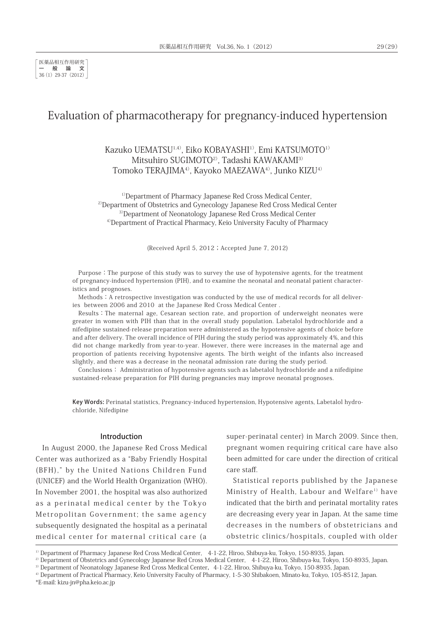# Evaluation of pharmacotherapy for pregnancy-induced hypertension

# Kazuko UEMATSU1,4), Eiko KOBAYASHI1), Emi KATSUMOTO1) Mitsuhiro SUGIMOTO<sup>2)</sup>, Tadashi KAWAKAMI<sup>3)</sup> Tomoko TERAJIMA4), Kayoko MAEZAWA4), Junko KIZU4)

<sup>1)</sup>Department of Pharmacy Japanese Red Cross Medical Center, <sup>2)</sup>Department of Obstetrics and Gynecology Japanese Red Cross Medical Center 3)Department of Neonatology Japanese Red Cross Medical Center <sup>4)</sup>Department of Practical Pharmacy, Keio University Faculty of Pharmacy

(Received April 5, 2012; Accepted June 7, 2012)

Purpose:The purpose of this study was to survey the use of hypotensive agents, for the treatment of pregnancy-induced hypertension (PIH), and to examine the neonatal and neonatal patient characteristics and prognoses.

Methods:A retrospective investigation was conducted by the use of medical records for all deliveries between 2006 and 2010 at the Japanese Red Cross Medical Center .

Results:The maternal age, Cesarean section rate, and proportion of underweight neonates were greater in women with PIH than that in the overall study population. Labetalol hydrochloride and a nifedipine sustained-release preparation were administered as the hypotensive agents of choice before and after delivery. The overall incidence of PIH during the study period was approximately 4%, and this did not change markedly from year-to-year. However, there were increases in the maternal age and proportion of patients receiving hypotensive agents. The birth weight of the infants also increased slightly, and there was a decrease in the neonatal admission rate during the study period.

Conclusions: Administration of hypotensive agents such as labetalol hydrochloride and a nifedipine sustained-release preparation for PIH during pregnancies may improve neonatal prognoses.

Key Words: Perinatal statistics, Pregnancy-induced hypertension, Hypotensive agents, Labetalol hydrochloride, Nifedipine

#### Introduction

In August 2000, the Japanese Red Cross Medical Center was authorized as a "Baby Friendly Hospital (BFH)," by the United Nations Children Fund (UNICEF) and the World Health Organization (WHO). In November 2001, the hospital was also authorized as a perinatal medical center by the Tokyo Metropolitan Government; the same agency subsequently designated the hospital as a perinatal medical center for maternal critical care (a

super-perinatal center) in March 2009. Since then, pregnant women requiring critical care have also been admitted for care under the direction of critical care staff.

Statistical reports published by the Japanese Ministry of Health, Labour and Welfare<sup>1)</sup> have indicated that the birth and perinatal mortality rates are decreasing every year in Japan. At the same time decreases in the numbers of obstetricians and obstetric clinics/hospitals, coupled with older

<sup>&</sup>lt;sup>1)</sup> Department of Pharmacy Japanese Red Cross Medical Center, 4-1-22, Hiroo, Shibuya-ku, Tokyo, 150-8935, Japan.

<sup>&</sup>lt;sup>2)</sup> Department of Obstetrics and Gynecology Japanese Red Cross Medical Center, 4-1-22, Hiroo, Shibuya-ku, Tokyo, 150-8935, Japan.

<sup>&</sup>lt;sup>3)</sup> Department of Neonatology Japanese Red Cross Medical Center, 4-1-22, Hiroo, Shibuya-ku, Tokyo, 150-8935, Japan.

<sup>&</sup>lt;sup>4)</sup> Department of Practical Pharmacy, Keio University Faculty of Pharmacy, 1-5-30 Shibakoen, Minato-ku, Tokyo, 105-8512, Japan.

<sup>\*</sup>E-mail: kizu-jn@pha.keio.ac.jp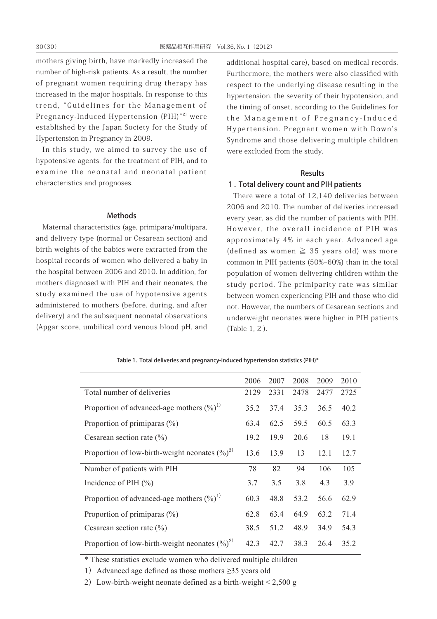mothers giving birth, have markedly increased the number of high-risk patients. As a result, the number of pregnant women requiring drug therapy has increased in the major hospitals. In response to this trend, "Guidelines for the Management of Pregnancy-Induced Hypertension (PIH)"<sup>2)</sup> were established by the Japan Society for the Study of Hypertension in Pregnancy in 2009.

In this study, we aimed to survey the use of hypotensive agents, for the treatment of PIH, and to examine the neonatal and neonatal patient characteristics and prognoses.

#### Methods

Maternal characteristics (age, primipara/multipara, and delivery type (normal or Cesarean section) and birth weights of the babies were extracted from the hospital records of women who delivered a baby in the hospital between 2006 and 2010. In addition, for mothers diagnosed with PIH and their neonates, the study examined the use of hypotensive agents administered to mothers (before, during, and after delivery) and the subsequent neonatal observations (Apgar score, umbilical cord venous blood pH, and additional hospital care), based on medical records. Furthermore, the mothers were also classified with respect to the underlying disease resulting in the hypertension, the severity of their hypotension, and the timing of onset, according to the Guidelines for the Management of Pregnancy-Induced Hypertension. Pregnant women with Down's Syndrome and those delivering multiple children were excluded from the study.

## Results

## 1. Total delivery count and PIH patients

There were a total of 12,140 deliveries between 2006 and 2010. The number of deliveries increased every year, as did the number of patients with PIH. However, the overall incidence of PIH was approximately 4% in each year. Advanced age (defined as women  $\geq$  35 years old) was more common in PIH patients (50%‒60%) than in the total population of women delivering children within the study period. The primiparity rate was similar between women experiencing PIH and those who did not. However, the numbers of Cesarean sections and underweight neonates were higher in PIH patients (Table 1, 2 ).

|                                                  | 2006 | 2007 | 2008 | 2009 | 2010 |
|--------------------------------------------------|------|------|------|------|------|
| Total number of deliveries                       | 2129 | 2331 | 2478 | 2477 | 2725 |
| Proportion of advanced-age mothers $(\%)^1$      | 35.2 | 37.4 | 35.3 | 36.5 | 40.2 |
| Proportion of primiparas $(\% )$                 | 63.4 | 62.5 | 59.5 | 60.5 | 63.3 |
| Cesarean section rate $(\% )$                    | 19.2 | 19.9 | 20.6 | 18   | 19.1 |
| Proportion of low-birth-weight neonates $(\%)^2$ | 13.6 | 13.9 | 13   | 12.1 | 12.7 |
| Number of patients with PIH                      | 78   | 82   | 94   | 106  | 105  |
| Incidence of PIH $(\% )$                         | 3.7  | 3.5  | 3.8  | 4.3  | 3.9  |
| Proportion of advanced-age mothers $(\%)^1$      | 60.3 | 48.8 | 53.2 | 56.6 | 62.9 |
| Proportion of primiparas $(\% )$                 | 62.8 | 63.4 | 64.9 | 63.2 | 71.4 |
| Cesarean section rate $(\% )$                    | 38.5 | 51.2 | 48.9 | 34.9 | 54.3 |
| Proportion of low-birth-weight neonates $(\%)^2$ | 42.3 | 42.7 | 38.3 | 26.4 | 35.2 |

#### Table 1. Total deliveries and pregnancy-induced hypertension statistics (PIH)\*

\* These statistics exclude women who delivered multiple children

1) Advanced age defined as those mothers  $\geq$ 35 years old

2) Low-birth-weight neonate defined as a birth-weight  $\leq 2,500$  g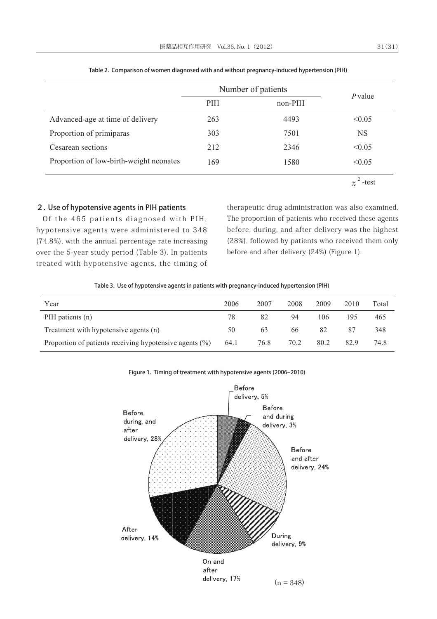|                                         | Number of patients |           |                |
|-----------------------------------------|--------------------|-----------|----------------|
|                                         | <b>PIH</b>         | $non-PIH$ | <i>P</i> value |
| Advanced-age at time of delivery        | 263                | 4493      | < 0.05         |
| Proportion of primiparas                | 303                | 7501      | <b>NS</b>      |
| Cesarean sections                       | 212                | 2346      | < 0.05         |
| Proportion of low-birth-weight neonates | 169                | 1580      | < 0.05         |
|                                         |                    |           | -test          |

Table 2. Comparison of women diagnosed with and without pregnancy-induced hypertension (PIH)

2. Use of hypotensive agents in PIH patients

Of the 465 patients diagnosed with PIH, hypotensive agents were administered to 348 (74.8%), with the annual percentage rate increasing over the 5-year study period (Table 3). In patients treated with hypotensive agents, the timing of

therapeutic drug administration was also examined. The proportion of patients who received these agents before, during, and after delivery was the highest (28%), followed by patients who received them only before and after delivery (24%) (Figure 1).

|  | Table 3. Use of hypotensive agents in patients with pregnancy-induced hypertension (PIH) |  |
|--|------------------------------------------------------------------------------------------|--|
|  |                                                                                          |  |

| Year                                                        | 2006 | 2007 | 2008 | 2009 | 2010 | Total |
|-------------------------------------------------------------|------|------|------|------|------|-------|
| PIH patients (n)                                            | 78   | 82   | 94   | 106  | 195  | 465   |
| Treatment with hypotensive agents (n)                       | 50   | 63   | 66   | 82   | 87   | 348   |
| Proportion of patients receiving hypotensive agents $(\% )$ | 64.1 | 76.8 | 70.2 | 80.2 | 82.9 | 74.8  |



Figure 1. Timing of treatment with hypotensive agents (2006-2010)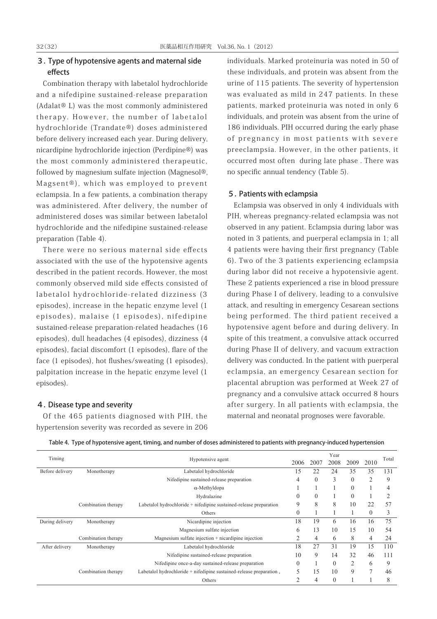## 3. Type of hypotensive agents and maternal side effects

Combination therapy with labetalol hydrochloride and a nifedipine sustained-release preparation (Adalat® L) was the most commonly administered therapy. However, the number of labetalol hydrochloride (Trandate®) doses administered before delivery increased each year. During delivery, nicardipine hydrochloride injection (Perdipine®) was the most commonly administered therapeutic, followed by magnesium sulfate injection (Magnesol®, Magsent®), which was employed to prevent eclampsia. In a few patients, a combination therapy was administered. After delivery, the number of administered doses was similar between labetalol hydrochloride and the nifedipine sustained-release preparation (Table 4).

There were no serious maternal side effects associated with the use of the hypotensive agents described in the patient records. However, the most commonly observed mild side effects consisted of labetalol hydrochloride-related dizziness (3 episodes), increase in the hepatic enzyme level (1 episodes), malaise (1 episodes), nifedipine sustained-release preparation-related headaches (16 episodes), dull headaches (4 episodes), dizziness (4 episodes), facial discomfort (1 episodes), flare of the face (1 episodes), hot flushes/sweating (1 episodes), palpitation increase in the hepatic enzyme level (1 episodes).

### 4. Disease type and severity

Of the 465 patients diagnosed with PIH, the hypertension severity was recorded as severe in 206 individuals. Marked proteinuria was noted in 50 of these individuals, and protein was absent from the urine of 115 patients. The severity of hypertension was evaluated as mild in 247 patients. In these patients, marked proteinuria was noted in only 6 individuals, and protein was absent from the urine of 186 individuals. PIH occurred during the early phase of pregnancy in most patients with severe preeclampsia. However, in the other patients, it occurred most often during late phase . There was no specific annual tendency (Table 5).

#### 5. Patients with eclampsia

Eclampsia was observed in only 4 individuals with PIH, whereas pregnancy-related eclampsia was not observed in any patient. Eclampsia during labor was noted in 3 patients, and puerperal eclampsia in 1; all 4 patients were having their first pregnancy (Table 6). Two of the 3 patients experiencing eclampsia during labor did not receive a hypotensivie agent. These 2 patients experienced a rise in blood pressure during Phase I of delivery, leading to a convulsive attack, and resulting in emergency Cesarean sections being performed. The third patient received a hypotensive agent before and during delivery. In spite of this treatment, a convulsive attack occurred during Phase II of delivery, and vacuum extraction delivery was conducted. In the patient with puerperal eclampsia, an emergency Cesarean section for placental abruption was performed at Week 27 of pregnancy and a convulsive attack occurred 8 hours after surgery. In all patients with eclampsia, the maternal and neonatal prognoses were favorable.

| Timing          |                     |                                                                     |                  |                | Year     |                |                | Total |
|-----------------|---------------------|---------------------------------------------------------------------|------------------|----------------|----------|----------------|----------------|-------|
|                 |                     | Hypotensive agent                                                   | 2006             | 2007           | 2008     | 2009           | 2010           |       |
| Before delivery | Monotherapy         | Labetalol hydrochloride                                             | 15               | 22             | 24       | 35             | 35             | 131   |
|                 |                     | Nifedipine sustained-release preparation                            | 4                | $\overline{0}$ | 3        | $\theta$       | $\overline{2}$ | 9     |
|                 |                     | $\alpha$ -Methyldopa                                                |                  |                |          | $\theta$       |                | 4     |
|                 |                     | Hydralazine                                                         | $\theta$         | $\overline{0}$ |          | $\theta$       |                | 2     |
|                 | Combination therapy | Labetalol hydrochloride + nifedipine sustained-release preparation  | 9                | 8              | 8        | 10             | 22             | 57    |
|                 |                     | Others                                                              | $\theta$         |                |          |                | $\theta$       | 3     |
| During delivery | Monotherapy         | Nicardipine injection                                               | 18               | 19             | 6        | 16             | 16             | 75    |
|                 |                     | Magnesium sulfate injection                                         | 6                | 13             | 10       | 15             | 10             | 54    |
|                 | Combination therapy | Magnesium sulfate injection + nicardipine injection                 | $\overline{c}$   | 4              | 6        | 8              | 4              | 24    |
| After delivery  | Monotherapy         | Labetalol hydrochloride                                             | 18               | 27             | 31       | 19             | 15             | 110   |
|                 |                     | Nifedipine sustained-release preparation                            | 10               | 9              | 14       | 32             | 46             | 111   |
|                 |                     | Nifedipine once-a-day sustained-release preparation                 | $\boldsymbol{0}$ |                | $\theta$ | $\overline{2}$ | 6              | 9     |
|                 | Combination therapy | Labetalol hydrochloride + nifedipine sustained-release preparation, | 5                | 15             | 10       | 9              | $\overline{7}$ | 46    |
|                 |                     | Others                                                              | 2                | 4              | $\theta$ |                |                | 8     |

Table 4. Type of hypotensive agent, timing, and number of doses administered to patients with pregnancy-induced hypertension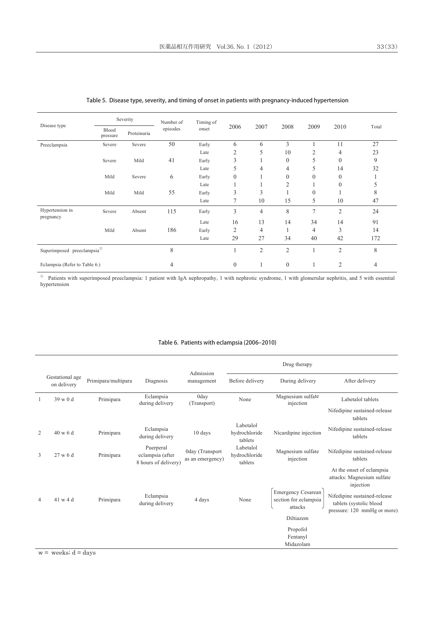|                                         |                   | Severity    | Number of | Timing of |                |                |                  |              |                |       |
|-----------------------------------------|-------------------|-------------|-----------|-----------|----------------|----------------|------------------|--------------|----------------|-------|
| Disease type                            | Blood<br>pressure | Proteinuria | episodes  | onset     | 2006           | 2007           | 2008             | 2009         | 2010           | Total |
| Preeclampsia                            | Severe            | Severe      | 50        | Early     | 6              | 6              | 3                |              | 11             | 27    |
|                                         |                   |             |           | Late      | 2              | 5              | 10               | 2            | 4              | 23    |
|                                         | Severe            | Mild        | 41        | Early     | 3              |                | $\theta$         | 5            | $\overline{0}$ | 9     |
|                                         |                   |             |           | Late      | 5              | 4              | 4                | 5            | 14             | 32    |
|                                         | Mild              | Severe      | 6         | Early     | $\mathbf{0}$   |                | $\mathbf{0}$     | $\mathbf{0}$ | $\overline{0}$ | 1     |
|                                         |                   |             |           | Late      |                |                | $\overline{2}$   |              | $\theta$       | 5     |
|                                         | Mild              | Mild        | 55        | Early     | 3              | 3              |                  | $\theta$     |                | 8     |
|                                         |                   |             |           | Late      | 7              | 10             | 15               | 5            | 10             | 47    |
| Hypertension in<br>pregnancy            | Severe            | Absent      | 115       | Early     | 3              | $\overline{4}$ | 8                | 7            | $\overline{2}$ | 24    |
|                                         |                   |             |           | Late      | 16             | 13             | 14               | 34           | 14             | 91    |
|                                         | Mild              | Absent      | 186       | Early     | 2              | 4              |                  | 4            | 3              | 14    |
|                                         |                   |             |           | Late      | 29             | 27             | 34               | 40           | 42             | 172   |
| Superimposed preeclampsia <sup>1)</sup> |                   |             | 8         |           |                | $\overline{2}$ | $\overline{2}$   |              | $\overline{2}$ | 8     |
| Eclampsia (Refer to Table 6.)           |                   |             | 4         |           | $\overline{0}$ |                | $\boldsymbol{0}$ |              | 2              | 4     |

#### Table 5. Disease type, severity, and timing of onset in patients with pregnancy-induced hypertension

<sup>1)</sup> Patients with superimposed preeclampsia: 1 patient with IgA nephropathy, 1 with nephrotic syndrome, 1 with glomerular nephritis, and 5 with essential hypertension

### Table 6. Patients with eclampsia (2006-2010)

|    |                                |                     |                                                       | Admission                           |                                       | Drug therapy                                                  |                                                                                        |
|----|--------------------------------|---------------------|-------------------------------------------------------|-------------------------------------|---------------------------------------|---------------------------------------------------------------|----------------------------------------------------------------------------------------|
|    | Gestational age<br>on delivery | Primipara/multipara | Diagnosis                                             | management                          | Before delivery                       | During delivery                                               | After delivery                                                                         |
| -1 | $39 \le 0 d$                   | Primipara           | Eclampsia<br>during delivery                          | 0day<br>(Transport)                 | None                                  | Magnesium sulfate<br>injection                                | Labetalol tablets                                                                      |
|    |                                |                     |                                                       |                                     |                                       |                                                               | Nifedipine sustained-release<br>tablets                                                |
| 2  | 40 w 6 d                       | Primipara           | Eclampsia<br>during delivery                          | 10 days                             | Labetalol<br>hydrochloride<br>tablets | Nicardipine injection                                         | Nifedipine sustained-release<br>tablets                                                |
| 3  | 27 w 6 d                       | Primipara           | Puerperal<br>eclampsia (after<br>8 hours of delivery) | 0day (Transport<br>as an emergency) | Labetalol<br>hydrochloride<br>tablets | Magnesium sulfate<br>injection                                | Nifedipine sustained-release<br>tablets                                                |
|    |                                |                     |                                                       |                                     |                                       |                                                               | At the onset of eclampsia<br>attacks: Magnesium sulfate<br>injection                   |
| 4  | 41 w 4 d                       | Primipara           | Eclampsia<br>during delivery                          | 4 days                              | None                                  | <b>Emergency Cesarean</b><br>section for eclampsia<br>attacks | Nifedipine sustained-release<br>tablets (systolic blood<br>pressure: 120 mmHg or more) |
|    |                                |                     |                                                       |                                     |                                       | Diltiazem                                                     |                                                                                        |
|    |                                |                     |                                                       |                                     |                                       | Propofol                                                      |                                                                                        |
|    |                                |                     |                                                       |                                     |                                       | Fentanyl                                                      |                                                                                        |
|    |                                |                     |                                                       |                                     |                                       | Midazolam                                                     |                                                                                        |

 $w =$  weeks;  $d =$  days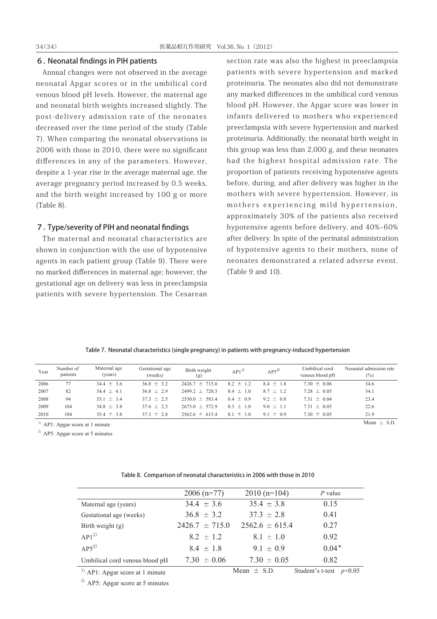#### 6. Neonatal findings in PIH patients

Annual changes were not observed in the average neonatal Apgar scores or in the umbilical cord venous blood pH levels. However, the maternal age and neonatal birth weights increased slightly. The post-delivery admission rate of the neonates decreased over the time period of the study (Table 7). When comparing the neonatal observations in 2006 with those in 2010, there were no significant differences in any of the parameters. However, despite a 1-year rise in the average maternal age, the average pregnancy period increased by 0.5 weeks, and the birth weight increased by 100 g or more (Table 8).

## 7. Type/severity of PIH and neonatal findings

The maternal and neonatal characteristics are shown in conjunction with the use of hypotensive agents in each patient group (Table 9). There were no marked differences in maternal age; however, the gestational age on delivery was less in preeclampsia patients with severe hypertension. The Cesarean

section rate was also the highest in preeclampsia patients with severe hypertension and marked proteinuria. The neonates also did not demonstrate any marked differences in the umbilical cord venous blood pH. However, the Apgar score was lower in infants delivered to mothers who experienced preeclampsia with severe hypertension and marked proteinuria. Additionally, the neonatal birth weight in this group was less than 2,000 g, and these neonates had the highest hospital admission rate. The proportion of patients receiving hypotensive agents before, during, and after delivery was higher in the mothers with severe hypertension. However, in mothers experiencing mild hypertension, approximately 30% of the patients also received hypotensive agents before delivery, and 40%‒60% after delivery. In spite of the perinatal administration of hypotensive agents to their mothers, none of neonates demonstrated a related adverse event. (Table 9 and 10).

|  |  | Table 7. Neonatal characteristics (single pregnancy) in patients with pregnancy-induced hypertension |
|--|--|------------------------------------------------------------------------------------------------------|
|--|--|------------------------------------------------------------------------------------------------------|

| Year | Number of<br>patients | Maternal age<br>(years) | Gestational age<br>(weeks) | Birth weight<br>(g) | $AP1^{11}$    | $AP5^{2)}$    | Umbilical cord<br>venous blood pH | Neonatal admission rate<br>$(\%)$ |
|------|-----------------------|-------------------------|----------------------------|---------------------|---------------|---------------|-----------------------------------|-----------------------------------|
| 2006 | 77                    | $34.4 \pm 3.6$          | $36.8 \pm 3.2$             | $2426.7 \pm 715.0$  | $8.2 \pm 1.2$ | $8.4 \pm 1.8$ | $7.30 \pm 0.06$                   | 34.6                              |
| 2007 | 82                    | $344 \pm 41$            | $36.8 \pm 2.9$             | $2499.2 \pm 720.3$  | $8.4 \pm 1.0$ | $8.7 \pm 1.2$ | $7.28 \pm 0.05$                   | 34.1                              |
| 2008 | 94                    | $35.1 \pm 3.4$          | $37.3 \pm 2.5$             | $2530.0 \pm 583.4$  | $8.4 \pm 0.9$ | $9.2 \pm 0.8$ | 7.31 $\pm$ 0.04                   | 23.4                              |
| 2009 | 104                   | $34.8 \pm 3.8$          | $37.6 \pm 2.3$             | $2673.0 \pm 572.9$  | $8.3 \pm 1.0$ | $9.0 \pm 1.1$ | $7.31 \pm 0.05$                   | 22.6                              |
| 2010 | 104                   | $35.4 \pm 3.8$          | $37.3 \pm 2.8$             | $25626 \pm 6154$    | $8.1 \pm 1.0$ | $9.1 \pm 0.9$ | 7.30 $\pm$ 0.05                   | 21.9                              |

<sup>1)</sup> AP1: Apgar score at 1 minute Mean  $\pm$  S.D

 $^{2)}$  AP5: Apgar score at 5 minutes

|  |  |  | Table 8. Comparison of neonatal characteristics in 2006 with those in 2010 |
|--|--|--|----------------------------------------------------------------------------|
|--|--|--|----------------------------------------------------------------------------|

| $2006$ (n=77)      | $2010(n=104)$      | $P$ value |
|--------------------|--------------------|-----------|
| $34.4 \pm 3.6$     | $35.4 \pm 3.8$     | 0.15      |
| $36.8 \pm 3.2$     | 37 3 $\pm$ 2 8     | 0.41      |
| $2426.7 \pm 715.0$ | $2562.6 \pm 615.4$ | 0.27      |
| $82 \pm 12$        | $8.1 \pm 1.0$      | 0.92      |
| $84 + 18$          | $9.1 \pm 0.9$      | $0.04*$   |
| $7.30 \pm 0.06$    | $7.30 \pm 0.05$    | 0.82      |
|                    |                    |           |

<sup>1)</sup> AP1: Apgar score at 1 minute Mean  $\pm$  S.D. Student's t-test *p*<0.05

 $^{2)}$  AP5: Apgar score at 5 minutes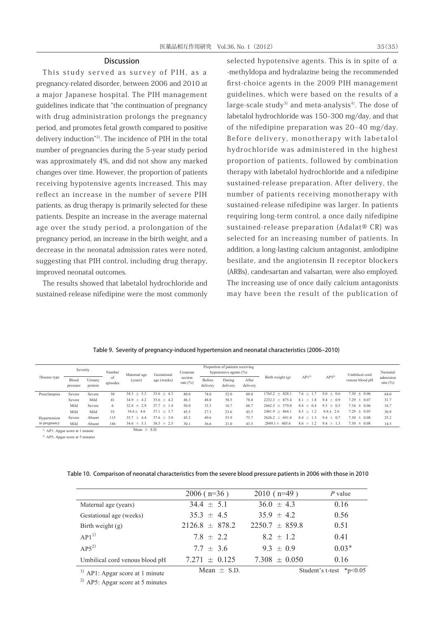### **Discussion**

This study served as survey of PIH, as a pregnancy-related disorder, between 2006 and 2010 at a major Japanese hospital. The PIH management guidelines indicate that "the continuation of pregnancy with drug administration prolongs the pregnancy period, and promotes fetal growth compared to positive delivery induction"2). The incidence of PIH in the total number of pregnancies during the 5-year study period was approximately 4%, and did not show any marked changes over time. However, the proportion of patients receiving hypotensive agents increased. This may reflect an increase in the number of severe PIH patients, as drug therapy is primarily selected for these patients. Despite an increase in the average maternal age over the study period, a prolongation of the pregnancy period, an increase in the birth weight, and a decrease in the neonatal admission rates were noted, suggesting that PIH control, including drug therapy, improved neonatal outcomes.

The results showed that labetalol hydrochloride and sustained-release nifedipine were the most commonly selected hypotensive agents. This is in spite of  $\alpha$ -methyldopa and hydralazine being the recommended first-choice agents in the 2009 PIH management guidelines, which were based on the results of a large-scale study<sup>3)</sup> and meta-analysis<sup>4</sup>). The dose of labetalol hydrochloride was 150-300 mg/day, and that of the nifedipine preparation was  $20-40$  mg/day. Before delivery, monotherapy with labetalol hydrochloride was administered in the highest proportion of patients, followed by combination therapy with labetalol hydrochloride and a nifedipine sustained-release preparation. After delivery, the number of patients receiving monotherapy with sustained-release nifedipine was larger. In patients requiring long-term control, a once daily nifedipine sustained-release preparation (Adalat® CR) was selected for an increasing number of patients. In addition, a long-lasting calcium antagonist, amlodipine besilate, and the angiotensin II receptor blockers (ARBs), candesartan and valsartan, were also employed. The increasing use of once daily calcium antagonists may have been the result of the publication of

|  | Table 9. Severity of pregnancy-induced hypertension and neonatal characteristics (2006–2010) |  |  |  |  |
|--|----------------------------------------------------------------------------------------------|--|--|--|--|
|--|----------------------------------------------------------------------------------------------|--|--|--|--|

| Disease type                       | Severity          |                    | Number          | Maternal age   | Gestational      | Cesarean               | Proportion of patients receiving<br>hypotensive agents $(\% )$ |                    |                   |                    |                  |               | Umbilical cord  | Neonatal                  |
|------------------------------------|-------------------|--------------------|-----------------|----------------|------------------|------------------------|----------------------------------------------------------------|--------------------|-------------------|--------------------|------------------|---------------|-----------------|---------------------------|
|                                    | Blood<br>pressure | Urinary<br>protein | -ot<br>episodes | (years)        | age (weeks)      | section<br>rate $(\%)$ | Before<br>delivery                                             | During<br>delivery | After<br>delivery | Birth weight (g)   | AP1 <sup>1</sup> | $AP5^{2}$     | venous blood pH | admission<br>rate $(\% )$ |
| Preeclampsia                       | Severe            | Severe             | 50              | $34.3 \pm 5.3$ | $33.6 \pm 4.3$   | 80.0                   | 74.0                                                           | 52.0               | 88.0              | $1765.2 \pm 828.1$ | $7.6 \pm 1.7$    | $9.0 \pm 0.6$ | $7.30 \pm 0.06$ | 64.0                      |
|                                    | Severe            | Mild               | 41              | $34.9 \pm 4.2$ | $35.6 \pm 4.2$   | 46.3                   | 48.8                                                           | 58.5               | 78.0              | $2232.3 \pm 875.4$ | 81<br>1.8<br>土   | $9.4 \pm 0.9$ | 7.29 $\pm$ 0.07 | 31.7                      |
|                                    | Mild              | Severe             | 6               | $32.8 \pm 2.9$ | 377<br>$\pm$ 1.4 | 50.0                   | 33.3                                                           | 16.7               | 66.7              | $2662.5 \pm 579.0$ | $8.8 \pm 0.4$    | $9.3 \pm 0.5$ | 7.34 $\pm$ 0.06 | 16.7                      |
|                                    | Mild              | Mild               | 55              | $34.6 \pm 4.6$ | 371<br>$\pm$ 3.7 | 45.5                   | 27.3                                                           | 23.6               | 45.5              | $24819 \pm 8641$   | $8.5 \pm 1.2$    | $8.8 \pm 2.6$ | $7.29 \pm 0.05$ | 30.9                      |
| Hypertension                       | Severe            | Absent             | 115             | $35.7 \pm 4.4$ | $37.6 \pm 3.0$   | 45.2                   | 49.6                                                           | 53.9               | 75.7              | $2626.2 \pm 691.8$ | 84<br>13<br>土    | $9.4 \pm 0.7$ | 7.30 $\pm$ 0.08 | 25.2                      |
| in pregnancy                       | Mild              | Absent             | 186             | $34.6 \pm 5.1$ | $38.5 \pm 2.5$   | 30.1                   | 36.6                                                           | 21.0               | 43.5              | $2849.1 \pm 605.6$ | $8.6 \pm 1.2$    | $9.4 \pm 1.3$ | $7.30 \pm 0.08$ | 14.5                      |
| $\mu$ AP1: Apgar score at 1 minute |                   | Mean $\pm$ S.D.    |                 |                |                  |                        |                                                                |                    |                   |                    |                  |               |                 |                           |

 $2)$  AP5: Apgar score at 5 minutes

#### Table 10. Comparison of neonatal characteristics from the severe blood pressure patients in 2006 with those in 2010

|                                            | $2006$ ( $n=36$ )  | $2010$ (n=49)      | $P$ value                     |
|--------------------------------------------|--------------------|--------------------|-------------------------------|
| Maternal age (years)                       | $34.4 \pm 5.1$     | $36.0 \pm 4.3$     | 0.16                          |
| Gestational age (weeks)                    | $353 + 45$         | $359 \pm 42$       | 0.56                          |
| Birth weight $(g)$                         | $2126.8 \pm 878.2$ | $2250.7 \pm 859.8$ | 0.51                          |
| $AP1^{1}$                                  | $78 \pm 22$        | $8.2 \pm 1.2$      | 0.41                          |
| $AP5^{2)}$                                 | $77 \pm 36$        | $93 \pm 09$        | $0.03*$                       |
| Umbilical cord venous blood pH             | $7.271 \pm 0.125$  | $7.308 \pm 0.050$  | 0.16                          |
| <sup>1)</sup> AP1: Apgar score at 1 minute | Mean $\pm$ S.D.    |                    | Student's t-test $*_{p<0.05}$ |

 $^{2)}$  AP5: Apgar score at 5 minutes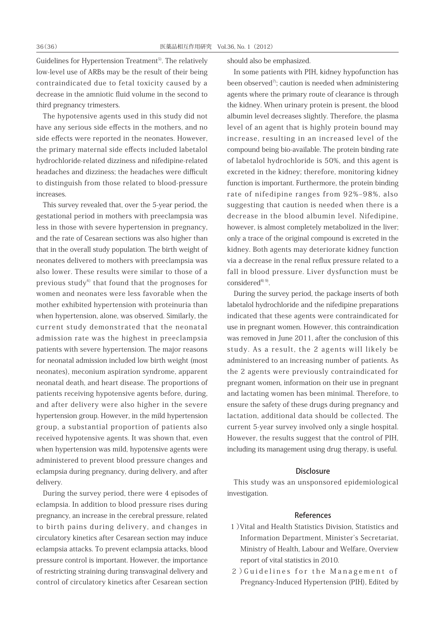Guidelines for Hypertension Treatment<sup>5)</sup>. The relatively low-level use of ARBs may be the result of their being contraindicated due to fetal toxicity caused by a decrease in the amniotic fluid volume in the second to third pregnancy trimesters.

The hypotensive agents used in this study did not have any serious side effects in the mothers, and no side effects were reported in the neonates. However, the primary maternal side effects included labetalol hydrochloride-related dizziness and nifedipine-related headaches and dizziness; the headaches were difficult to distinguish from those related to blood-pressure increases.

This survey revealed that, over the 5-year period, the gestational period in mothers with preeclampsia was less in those with severe hypertension in pregnancy, and the rate of Cesarean sections was also higher than that in the overall study population. The birth weight of neonates delivered to mothers with preeclampsia was also lower. These results were similar to those of a previous study $6$ <sup>that</sup> found that the prognoses for women and neonates were less favorable when the mother exhibited hypertension with proteinuria than when hypertension, alone, was observed. Similarly, the current study demonstrated that the neonatal admission rate was the highest in preeclampsia patients with severe hypertension. The major reasons for neonatal admission included low birth weight (most neonates), meconium aspiration syndrome, apparent neonatal death, and heart disease. The proportions of patients receiving hypotensive agents before, during, and after delivery were also higher in the severe hypertension group. However, in the mild hypertension group, a substantial proportion of patients also received hypotensive agents. It was shown that, even when hypertension was mild, hypotensive agents were administered to prevent blood pressure changes and eclampsia during pregnancy, during delivery, and after delivery.

During the survey period, there were 4 episodes of eclampsia. In addition to blood pressure rises during pregnancy, an increase in the cerebral pressure, related to birth pains during delivery, and changes in circulatory kinetics after Cesarean section may induce eclampsia attacks. To prevent eclampsia attacks, blood pressure control is important. However, the importance of restricting straining during transvaginal delivery and control of circulatory kinetics after Cesarean section

should also be emphasized.

In some patients with PIH, kidney hypofunction has been observed<sup>7)</sup>; caution is needed when administering agents where the primary route of clearance is through the kidney. When urinary protein is present, the blood albumin level decreases slightly. Therefore, the plasma level of an agent that is highly protein bound may increase, resulting in an increased level of the compound being bio-available. The protein binding rate of labetalol hydrochloride is 50%, and this agent is excreted in the kidney; therefore, monitoring kidney function is important. Furthermore, the protein binding rate of nifedipine ranges from 92%-98%, also suggesting that caution is needed when there is a decrease in the blood albumin level. Nifedipine, however, is almost completely metabolized in the liver; only a trace of the original compound is excreted in the kidney. Both agents may deteriorate kidney function via a decrease in the renal reflux pressure related to a fall in blood pressure. Liver dysfunction must be  $considered<sup>8)</sup>$ .

During the survey period, the package inserts of both labetalol hydrochloride and the nifedipine preparations indicated that these agents were contraindicated for use in pregnant women. However, this contraindication was removed in June 2011, after the conclusion of this study. As a result, the 2 agents will likely be administered to an increasing number of patients. As the 2 agents were previously contraindicated for pregnant women, information on their use in pregnant and lactating women has been minimal. Therefore, to ensure the safety of these drugs during pregnancy and lactation, additional data should be collected. The current 5-year survey involved only a single hospital. However, the results suggest that the control of PIH, including its management using drug therapy, is useful.

## **Disclosure**

This study was an unsponsored epidemiological investigation.

#### References

- 1)Vital and Health Statistics Division, Statistics and Information Department, Minister's Secretariat, Ministry of Health, Labour and Welfare, Overview report of vital statistics in 2010.
- 2)Guidelines for the Management of Pregnancy-Induced Hypertension (PIH), Edited by